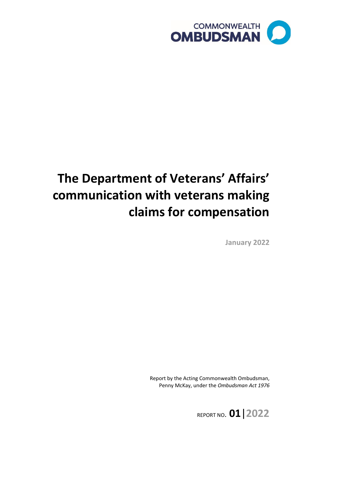

# **The Department of Veterans' Affairs' communication with veterans making claims for compensation**

**January 2022**

Report by the Acting Commonwealth Ombudsman, Penny McKay, under the *Ombudsman Act 1976*

REPORT NO. **01**|**2022**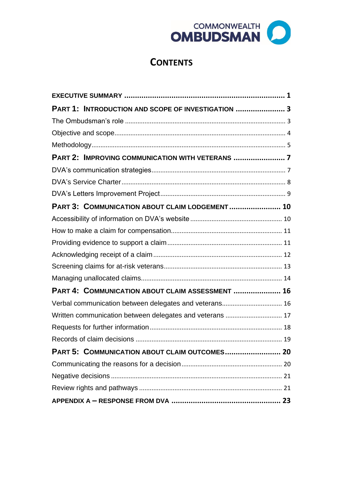

## **CONTENTS**

| PART 1: INTRODUCTION AND SCOPE OF INVESTIGATION  3 |  |
|----------------------------------------------------|--|
|                                                    |  |
|                                                    |  |
|                                                    |  |
|                                                    |  |
|                                                    |  |
|                                                    |  |
|                                                    |  |
| PART 3: COMMUNICATION ABOUT CLAIM LODGEMENT  10    |  |
|                                                    |  |
|                                                    |  |
|                                                    |  |
|                                                    |  |
|                                                    |  |
|                                                    |  |
| PART 4: COMMUNICATION ABOUT CLAIM ASSESSMENT  16   |  |
|                                                    |  |
|                                                    |  |
|                                                    |  |
|                                                    |  |
| PART 5: COMMUNICATION ABOUT CLAIM OUTCOMES 20      |  |
|                                                    |  |
|                                                    |  |
|                                                    |  |
|                                                    |  |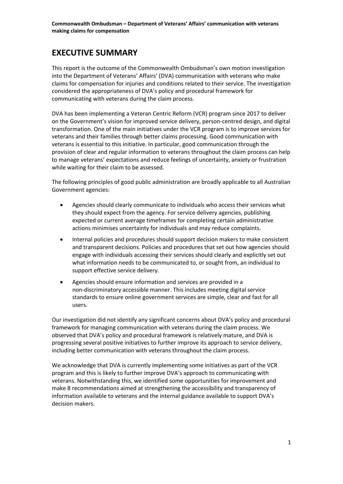## <span id="page-2-0"></span>**EXECUTIVE SUMMARY**

This report is the outcome of the Commonwealth Ombudsman's own motion investigation into the Department of Veterans' Affairs' (DVA) communication with veterans who make claims for compensation for injuries and conditions related to their service. The investigation considered the appropriateness of DVA's policy and procedural framework for communicating with veterans during the claim process.

DVA has been implementing a Veteran Centric Reform (VCR) program since 2017 to deliver on the Government's vision for improved service delivery, person-centred design, and digital transformation. One of the main initiatives under the VCR program is to improve services for veterans and their families through better claims processing. Good communication with veterans is essential to this initiative. In particular, good communication through the provision of clear and regular information to veterans throughout the claim process can help to manage veterans' expectations and reduce feelings of uncertainty, anxiety or frustration while waiting for their claim to be assessed.

The following principles of good public administration are broadly applicable to all Australian Government agencies:

- Agencies should clearly communicate to individuals who access their services what they should expect from the agency. For service delivery agencies, publishing expected or current average timeframes for completing certain administrative actions minimises uncertainty for individuals and may reduce complaints.
- Internal policies and procedures should support decision makers to make consistent and transparent decisions. Policies and procedures that set out how agencies should engage with individuals accessing their services should clearly and explicitly set out what information needs to be communicated to, or sought from, an individual to support effective service delivery.
- Agencies should ensure information and services are provided in a non-discriminatory accessible manner. This includes meeting digital service standards to ensure online government services are simple, clear and fast for all users.

Our investigation did not identify any significant concerns about DVA's policy and procedural framework for managing communication with veterans during the claim process. We observed that DVA's policy and procedural framework is relatively mature, and DVA is progressing several positive initiatives to further improve its approach to service delivery, including better communication with veterans throughout the claim process.

We acknowledge that DVA is currently implementing some initiatives as part of the VCR program and this is likely to further improve DVA's approach to communicating with veterans. Notwithstanding this, we identified some opportunities for improvement and make 8 recommendations aimed at strengthening the accessibility and transparency of information available to veterans and the internal guidance available to support DVA's decision makers.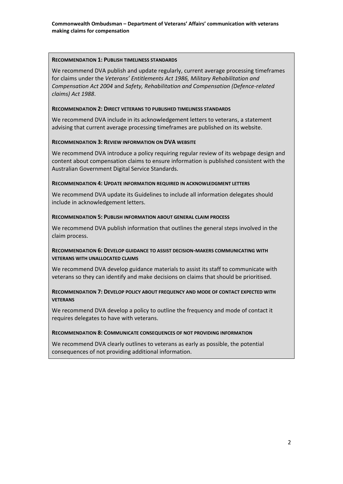#### **RECOMMENDATION 1: PUBLISH TIMELINESS STANDARDS**

We recommend DVA publish and update regularly, current average processing timeframes for claims under the *Veterans' Entitlements Act 1986, Military Rehabilitation and Compensation Act 2004* and *Safety, Rehabilitation and Compensation (Defence-related claims) Act 1988*.

#### **RECOMMENDATION 2: DIRECT VETERANS TO PUBLISHED TIMELINESS STANDARDS**

We recommend DVA include in its acknowledgement letters to veterans, a statement advising that current average processing timeframes are published on its website.

#### **RECOMMENDATION 3: REVIEW INFORMATION ON DVA WEBSITE**

We recommend DVA introduce a policy requiring regular review of its webpage design and content about compensation claims to ensure information is published consistent with the Australian Government Digital Service Standards.

#### **RECOMMENDATION 4: UPDATE INFORMATION REQUIRED IN ACKNOWLEDGMENT LETTERS**

We recommend DVA update its Guidelines to include all information delegates should include in acknowledgement letters.

#### **RECOMMENDATION 5: PUBLISH INFORMATION ABOUT GENERAL CLAIM PROCESS**

We recommend DVA publish information that outlines the general steps involved in the claim process.

#### **RECOMMENDATION 6: DEVELOP GUIDANCE TO ASSIST DECISION-MAKERS COMMUNICATING WITH VETERANS WITH UNALLOCATED CLAIMS**

We recommend DVA develop guidance materials to assist its staff to communicate with veterans so they can identify and make decisions on claims that should be prioritised.

#### **RECOMMENDATION 7: DEVELOP POLICY ABOUT FREQUENCY AND MODE OF CONTACT EXPECTED WITH VETERANS**

We recommend DVA develop a policy to outline the frequency and mode of contact it requires delegates to have with veterans.

#### **RECOMMENDATION 8: COMMUNICATE CONSEQUENCES OF NOT PROVIDING INFORMATION**

We recommend DVA clearly outlines to veterans as early as possible, the potential consequences of not providing additional information.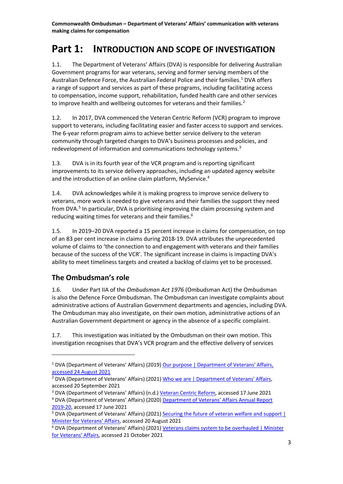## <span id="page-4-0"></span>**Part 1: INTRODUCTION AND SCOPE OF INVESTIGATION**

1.1. The Department of Veterans' Affairs (DVA) is responsible for delivering Australian Government programs for war veterans, serving and former serving members of the Australian Defence Force, the Australian Federal Police and their families.<sup>1</sup> DVA offers a range of support and services as part of these programs, including facilitating access to compensation, income support, rehabilitation, funded health care and other services to improve health and wellbeing outcomes for veterans and their families.<sup>2</sup>

1.2. In 2017, DVA commenced the Veteran Centric Reform (VCR) program to improve support to veterans, including facilitating easier and faster access to support and services. The 6-year reform program aims to achieve better service delivery to the veteran community through targeted changes to DVA's business processes and policies, and redevelopment of information and communications technology systems.<sup>3</sup>

1.3. DVA is in its fourth year of the VCR program and is reporting significant improvements to its service delivery approaches, including an updated agency website and the introduction of an online claim platform, MyService.<sup>4</sup>

1.4. DVA acknowledges while it is making progress to improve service delivery to veterans, more work is needed to give veterans and their families the support they need from DVA.<sup>5</sup> In particular, DVA is prioritising improving the claim processing system and reducing waiting times for veterans and their families.<sup>6</sup>

1.5. In 2019–20 DVA reported a 15 percent increase in claims for compensation, on top of an 83 per cent increase in claims during 2018-19. DVA attributes the unprecedented volume of claims to 'the connection to and engagement with veterans and their families because of the success of the VCR'. The significant increase in claims is impacting DVA's ability to meet timeliness targets and created a backlog of claims yet to be processed.

## <span id="page-4-1"></span>**The Ombudsman's role**

1.6. Under Part IIA of the *Ombudsman Act 1976* (Ombudsman Act) the Ombudsman is also the Defence Force Ombudsman. The Ombudsman can investigate complaints about administrative actions of Australian Government departments and agencies, including DVA. The Ombudsman may also investigate, on their own motion, administrative actions of an Australian Government department or agency in the absence of a specific complaint.

1.7. This investigation was initiated by the Ombudsman on their own motion. This investigation recognises that DVA's VCR program and the effective delivery of services

<sup>&</sup>lt;sup>1</sup> DVA (Department of Veterans' Affairs) (2019) Our purpose | Department of Veterans' Affairs, [accessed 24 August 2021](https://www.dva.gov.au/about-us/overview/our-purpose)

<sup>&</sup>lt;sup>2</sup> DVA (Department of Veterans' Affairs) (2021) Who we are | Department of Veterans' Affairs, accessed 20 September 2021

<sup>3</sup> DVA (Department of Veterans' Affairs) (n.d.) [Veteran Centric Reform,](https://www.dva.gov.au/sites/default/files/files/about%20dva/budgets/2017-18/veterancentricreform.pdf) accessed 17 June 2021

<sup>4</sup> DVA (Department of Veterans' Affairs) (2020[\) Department of Veterans' Affairs Annual Report](https://www.dva.gov.au/sites/default/files/dva-annual-report-2019-20.pdf)  [2019-20,](https://www.dva.gov.au/sites/default/files/dva-annual-report-2019-20.pdf) accessed 17 June 2021

<sup>&</sup>lt;sup>5</sup> DVA (Department of Veterans' Affairs) (2021) Securing the future of veteran welfare and support | [Minister for Veterans' Affairs,](https://minister.dva.gov.au/news-and-media/securing-future-veteran-welfare-and-support) accessed 20 August 2021

<sup>&</sup>lt;sup>6</sup> DVA (Department of Veterans' Affairs) (2021) Veterans claims system to be overhauled | Minister [for Veterans' Affairs,](https://minister.dva.gov.au/news-and-media/veterans-claims-system-be-overhauled) accessed 21 October 2021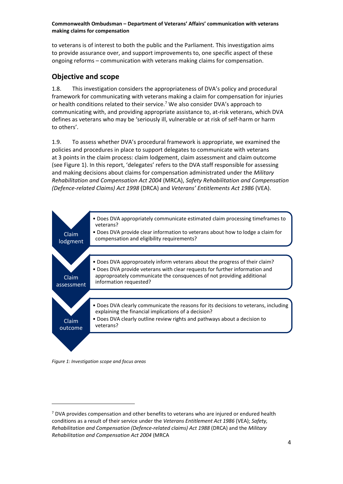to veterans is of interest to both the public and the Parliament. This investigation aims to provide assurance over, and support improvements to, one specific aspect of these ongoing reforms – communication with veterans making claims for compensation.

## <span id="page-5-0"></span>**Objective and scope**

1.8. This investigation considers the appropriateness of DVA's policy and procedural framework for communicating with veterans making a claim for compensation for injuries or health conditions related to their service.<sup>7</sup> We also consider DVA's approach to communicating with, and providing appropriate assistance to, at-risk veterans, which DVA defines as veterans who may be 'seriously ill, vulnerable or at risk of self-harm or harm to others'.

1.9. To assess whether DVA's procedural framework is appropriate, we examined the policies and procedures in place to support delegates to communicate with veterans at 3 points in the claim process: claim lodgement, claim assessment and claim outcome (see Figure 1). In this report, 'delegates' refers to the DVA staff responsible for assessing and making decisions about claims for compensation administrated under the *Military Rehabilitation and Compensation Act 2004* (MRCA), *Safety Rehabilitation and Compensation (Defence-related Claims) Act 1998* (DRCA) and *Veterans' Entitlements Act 1986* (VEA).



*Figure 1: Investigation scope and focus areas*

 $7$  DVA provides compensation and other benefits to veterans who are injured or endured health conditions as a result of their service under the *Veterans Entitlement Act 1986* (VEA); *Safety, Rehabilitation and Compensation (Defence-related claims) Act 1988* (DRCA) and the *Military Rehabilitation and Compensation Act 2004* (MRCA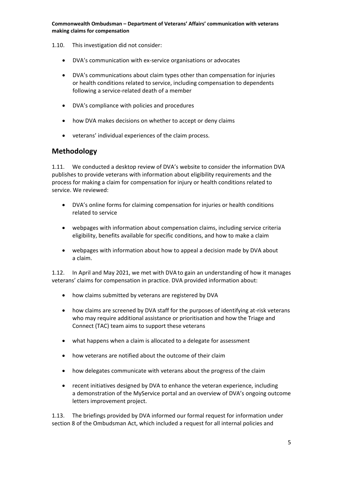- 1.10. This investigation did not consider:
	- DVA's communication with ex-service organisations or advocates
	- DVA's communications about claim types other than compensation for injuries or health conditions related to service, including compensation to dependents following a service-related death of a member
	- DVA's compliance with policies and procedures
	- how DVA makes decisions on whether to accept or deny claims
	- veterans' individual experiences of the claim process.

### <span id="page-6-0"></span>**Methodology**

1.11. We conducted a desktop review of DVA's website to consider the information DVA publishes to provide veterans with information about eligibility requirements and the process for making a claim for compensation for injury or health conditions related to service. We reviewed:

- DVA's online forms for claiming compensation for injuries or health conditions related to service
- webpages with information about compensation claims, including service criteria eligibility, benefits available for specific conditions, and how to make a claim
- webpages with information about how to appeal a decision made by DVA about a claim.

1.12. In April and May 2021, we met with DVA to gain an understanding of how it manages veterans' claims for compensation in practice. DVA provided information about:

- how claims submitted by veterans are registered by DVA
- how claims are screened by DVA staff for the purposes of identifying at-risk veterans who may require additional assistance or prioritisation and how the Triage and Connect (TAC) team aims to support these veterans
- what happens when a claim is allocated to a delegate for assessment
- how veterans are notified about the outcome of their claim
- how delegates communicate with veterans about the progress of the claim
- recent initiatives designed by DVA to enhance the veteran experience, including a demonstration of the MyService portal and an overview of DVA's ongoing outcome letters improvement project.

1.13. The briefings provided by DVA informed our formal request for information under section 8 of the Ombudsman Act, which included a request for all internal policies and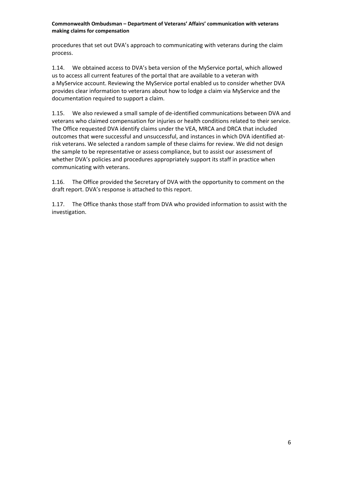procedures that set out DVA's approach to communicating with veterans during the claim process.

1.14. We obtained access to DVA's beta version of the MyService portal, which allowed us to access all current features of the portal that are available to a veteran with a MyService account. Reviewing the MyService portal enabled us to consider whether DVA provides clear information to veterans about how to lodge a claim via MyService and the documentation required to support a claim.

1.15. We also reviewed a small sample of de-identified communications between DVA and veterans who claimed compensation for injuries or health conditions related to their service. The Office requested DVA identify claims under the VEA, MRCA and DRCA that included outcomes that were successful and unsuccessful, and instances in which DVA identified atrisk veterans. We selected a random sample of these claims for review. We did not design the sample to be representative or assess compliance, but to assist our assessment of whether DVA's policies and procedures appropriately support its staff in practice when communicating with veterans.

1.16. The Office provided the Secretary of DVA with the opportunity to comment on the draft report. DVA's response is attached to this report.

1.17. The Office thanks those staff from DVA who provided information to assist with the investigation.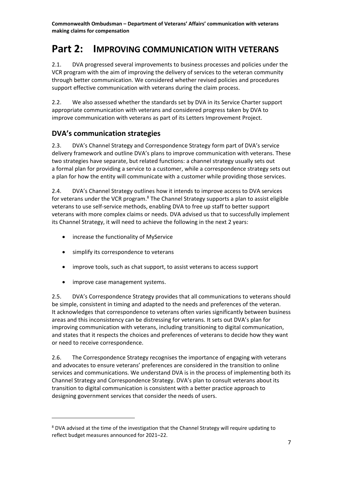## <span id="page-8-0"></span>**Part 2: IMPROVING COMMUNICATION WITH VETERANS**

2.1. DVA progressed several improvements to business processes and policies under the VCR program with the aim of improving the delivery of services to the veteran community through better communication. We considered whether revised policies and procedures support effective communication with veterans during the claim process.

2.2. We also assessed whether the standards set by DVA in its Service Charter support appropriate communication with veterans and considered progress taken by DVA to improve communication with veterans as part of its Letters Improvement Project.

## <span id="page-8-1"></span>**DVA's communication strategies**

2.3. DVA's Channel Strategy and Correspondence Strategy form part of DVA's service delivery framework and outline DVA's plans to improve communication with veterans. These two strategies have separate, but related functions: a channel strategy usually sets out a formal plan for providing a service to a customer, while a correspondence strategy sets out a plan for how the entity will communicate with a customer while providing those services.

2.4. DVA's Channel Strategy outlines how it intends to improve access to DVA services for veterans under the VCR program.<sup>8</sup> The Channel Strategy supports a plan to assist eligible veterans to use self-service methods, enabling DVA to free up staff to better support veterans with more complex claims or needs. DVA advised us that to successfully implement its Channel Strategy, it will need to achieve the following in the next 2 years:

- increase the functionality of MyService
- simplify its correspondence to veterans
- improve tools, such as chat support, to assist veterans to access support
- improve case management systems.

2.5. DVA's Correspondence Strategy provides that all communications to veterans should be simple, consistent in timing and adapted to the needs and preferences of the veteran. It acknowledges that correspondence to veterans often varies significantly between business areas and this inconsistency can be distressing for veterans. It sets out DVA's plan for improving communication with veterans, including transitioning to digital communication, and states that it respects the choices and preferences of veterans to decide how they want or need to receive correspondence.

2.6. The Correspondence Strategy recognises the importance of engaging with veterans and advocates to ensure veterans' preferences are considered in the transition to online services and communications. We understand DVA is in the process of implementing both its Channel Strategy and Correspondence Strategy. DVA's plan to consult veterans about its transition to digital communication is consistent with a better practice approach to designing government services that consider the needs of users.

<sup>8</sup> DVA advised at the time of the investigation that the Channel Strategy will require updating to reflect budget measures announced for 2021–22.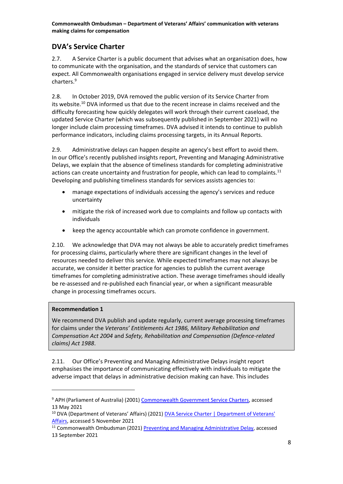## <span id="page-9-0"></span>**DVA's Service Charter**

2.7. A Service Charter is a public document that advises what an organisation does, how to communicate with the organisation, and the standards of service that customers can expect. All Commonwealth organisations engaged in service delivery must develop service charters.<sup>9</sup>

2.8. In October 2019, DVA removed the public version of its Service Charter from its website.<sup>10</sup> DVA informed us that due to the recent increase in claims received and the difficulty forecasting how quickly delegates will work through their current caseload, the updated Service Charter (which was subsequently published in September 2021) will no longer include claim processing timeframes. DVA advised it intends to continue to publish performance indicators, including claims processing targets, in its Annual Reports.

2.9. Administrative delays can happen despite an agency's best effort to avoid them. In our Office's recently published insights report, Preventing and Managing Administrative Delays, we explain that the absence of timeliness standards for completing administrative actions can create uncertainty and frustration for people, which can lead to complaints.<sup>11</sup> Developing and publishing timeliness standards for services assists agencies to:

- manage expectations of individuals accessing the agency's services and reduce uncertainty
- mitigate the risk of increased work due to complaints and follow up contacts with individuals
- keep the agency accountable which can promote confidence in government.

2.10. We acknowledge that DVA may not always be able to accurately predict timeframes for processing claims, particularly where there are significant changes in the level of resources needed to deliver this service. While expected timeframes may not always be accurate, we consider it better practice for agencies to publish the current average timeframes for completing administrative action. These average timeframes should ideally be re-assessed and re-published each financial year, or when a significant measurable change in processing timeframes occurs.

#### **Recommendation 1**

We recommend DVA publish and update regularly, current average processing timeframes for claims under the *Veterans' Entitlements Act 1986, Military Rehabilitation and Compensation Act 2004* and *Safety, Rehabilitation and Compensation (Defence-related claims) Act 1988*.

2.11. Our Office's Preventing and Managing Administrative Delays insight report emphasises the importance of communicating effectively with individuals to mitigate the adverse impact that delays in administrative decision making can have. This includes

<sup>9</sup> APH (Parliament of Australia) (2001) [Commonwealth Government Service Charters,](https://parlinfo.aph.gov.au/parlInfo/download/library/prspub/PP446/upload_binary/pp4465.pdf;fileType=application%2Fpdf#search=%22library/prspub/PP446%22) accessed 13 May 2021

<sup>&</sup>lt;sup>10</sup> DVA (Department of Veterans' Affairs) (2021) **DVA Service Charter | Department of Veterans'** [Affairs,](https://www.dva.gov.au/documents-and-publications/dva-service-charter) accessed 5 November 2021

<sup>&</sup>lt;sup>11</sup> Commonwealth Ombudsman (2021) [Preventing and Managing Administrative Delay,](https://www.ombudsman.gov.au/__data/assets/pdf_file/0017/112607/Insights-Report-Preventing-and-Managing-Administrative-Delay-A2176809.pdf) accessed 13 September 2021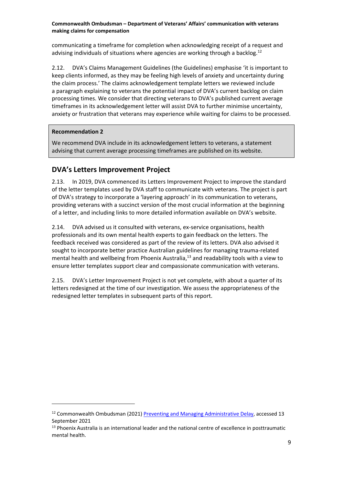communicating a timeframe for completion when acknowledging receipt of a request and advising individuals of situations where agencies are working through a backlog.<sup>12</sup>

2.12. DVA's Claims Management Guidelines (the Guidelines) emphasise 'it is important to keep clients informed, as they may be feeling high levels of anxiety and uncertainty during the claim process.' The claims acknowledgement template letters we reviewed include a paragraph explaining to veterans the potential impact of DVA's current backlog on claim processing times. We consider that directing veterans to DVA's published current average timeframes in its acknowledgement letter will assist DVA to further minimise uncertainty, anxiety or frustration that veterans may experience while waiting for claims to be processed.

#### **Recommendation 2**

We recommend DVA include in its acknowledgement letters to veterans, a statement advising that current average processing timeframes are published on its website.

## <span id="page-10-0"></span>**DVA's Letters Improvement Project**

2.13. In 2019, DVA commenced its Letters Improvement Project to improve the standard of the letter templates used by DVA staff to communicate with veterans. The project is part of DVA's strategy to incorporate a 'layering approach' in its communication to veterans, providing veterans with a succinct version of the most crucial information at the beginning of a letter, and including links to more detailed information available on DVA's website.

2.14. DVA advised us it consulted with veterans, ex-service organisations, health professionals and its own mental health experts to gain feedback on the letters. The feedback received was considered as part of the review of its letters. DVA also advised it sought to incorporate better practice Australian guidelines for managing trauma-related mental health and wellbeing from Phoenix Australia, <sup>13</sup> and readability tools with a view to ensure letter templates support clear and compassionate communication with veterans.

2.15. DVA's Letter Improvement Project is not yet complete, with about a quarter of its letters redesigned at the time of our investigation. We assess the appropriateness of the redesigned letter templates in subsequent parts of this report.

 $12$  Commonwealth Ombudsman (2021) [Preventing and Managing Administrative Delay,](https://www.ombudsman.gov.au/__data/assets/pdf_file/0017/112607/Insights-Report-Preventing-and-Managing-Administrative-Delay-A2176809.pdf) accessed 13 September 2021

<sup>&</sup>lt;sup>13</sup> Phoenix Australia is an international leader and the national centre of excellence in posttraumatic mental health.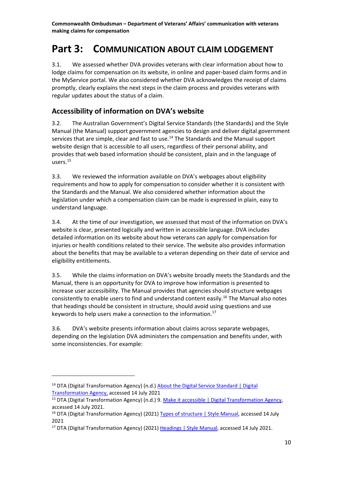## <span id="page-11-0"></span>**Part 3: COMMUNICATION ABOUT CLAIM LODGEMENT**

3.1. We assessed whether DVA provides veterans with clear information about how to lodge claims for compensation on its website, in online and paper-based claim forms and in the MyService portal. We also considered whether DVA acknowledges the receipt of claims promptly, clearly explains the next steps in the claim process and provides veterans with regular updates about the status of a claim.

## <span id="page-11-1"></span>**Accessibility of information on DVA's website**

3.2. The Australian Government's Digital Service Standards (the Standards) and the Style Manual (the Manual) support government agencies to design and deliver digital government services that are simple, clear and fast to use.<sup>14</sup> The Standards and the Manual support website design that is accessible to all users, regardless of their personal ability, and provides that web based information should be consistent, plain and in the language of users.<sup>15</sup>

3.3. We reviewed the information available on DVA's webpages about eligibility requirements and how to apply for compensation to consider whether it is consistent with the Standards and the Manual. We also considered whether information about the legislation under which a compensation claim can be made is expressed in plain, easy to understand language.

3.4. At the time of our investigation, we assessed that most of the information on DVA's website is clear, presented logically and written in accessible language. DVA includes detailed information on its website about how veterans can apply for compensation for injuries or health conditions related to their service. The website also provides information about the benefits that may be available to a veteran depending on their date of service and eligibility entitlements.

3.5. While the claims information on DVA's website broadly meets the Standards and the Manual, there is an opportunity for DVA to improve how information is presented to increase user accessibility. The Manual provides that agencies should structure webpages consistently to enable users to find and understand content easily.<sup>16</sup> The Manual also notes that headings should be consistent in structure, should avoid using questions and use keywords to help users make a connection to the information.<sup>17</sup>

3.6. DVA's website presents information about claims across separate webpages, depending on the legislation DVA administers the compensation and benefits under, with some inconsistencies. For example:

<sup>&</sup>lt;sup>14</sup> DTA (Digital Transformation Agency) (n.d.) About the Digital Service Standard | Digital [Transformation Agency,](https://www.dta.gov.au/help-and-advice/about-digital-service-standard) accessed 14 July 2021

<sup>&</sup>lt;sup>15</sup> DTA (Digital Transformation Agency) (n.d.) 9. [Make it accessible | Digital Transformation Agency,](https://www.dta.gov.au/help-and-advice/digital-service-standard/digital-service-standard-criteria/9-make-it-accessible) accessed 14 July 2021.

<sup>&</sup>lt;sup>16</sup> DTA (Digital Transformation Agency) (2021) [Types of structure | Style Manual,](https://www.stylemanual.gov.au/structuring-content/types-structure) accessed 14 July 2021

<sup>&</sup>lt;sup>17</sup> DTA (Digital Transformation Agency) (2021) [Headings | Style Manual,](https://www.stylemanual.gov.au/structuring-content/headings) accessed 14 July 2021.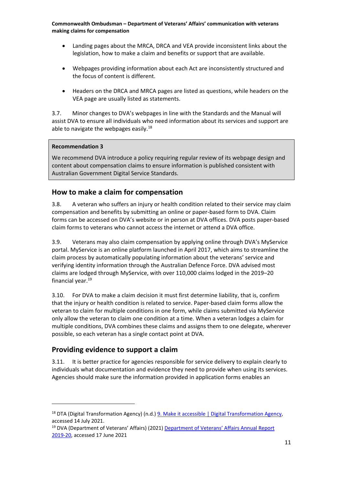- Landing pages about the MRCA, DRCA and VEA provide inconsistent links about the legislation, how to make a claim and benefits or support that are available.
- Webpages providing information about each Act are inconsistently structured and the focus of content is different.
- Headers on the DRCA and MRCA pages are listed as questions, while headers on the VEA page are usually listed as statements.

3.7. Minor changes to DVA's webpages in line with the Standards and the Manual will assist DVA to ensure all individuals who need information about its services and support are able to navigate the webpages easily.<sup>18</sup>

#### **Recommendation 3**

We recommend DVA introduce a policy requiring regular review of its webpage design and content about compensation claims to ensure information is published consistent with Australian Government Digital Service Standards.

#### <span id="page-12-0"></span>**How to make a claim for compensation**

3.8. A veteran who suffers an injury or health condition related to their service may claim compensation and benefits by submitting an online or paper-based form to DVA. Claim forms can be accessed on DVA's website or in person at DVA offices. DVA posts paper-based claim forms to veterans who cannot access the internet or attend a DVA office.

3.9. Veterans may also claim compensation by applying online through DVA's MyService portal. MyService is an online platform launched in April 2017, which aims to streamline the claim process by automatically populating information about the veterans' service and verifying identity information through the Australian Defence Force. DVA advised most claims are lodged through MyService, with over 110,000 claims lodged in the 2019–20 financial year. 19

3.10. For DVA to make a claim decision it must first determine liability, that is, confirm that the injury or health condition is related to service. Paper-based claim forms allow the veteran to claim for multiple conditions in one form, while claims submitted via MyService only allow the veteran to claim one condition at a time. When a veteran lodges a claim for multiple conditions, DVA combines these claims and assigns them to one delegate, wherever possible, so each veteran has a single contact point at DVA.

## <span id="page-12-1"></span>**Providing evidence to support a claim**

3.11. It is better practice for agencies responsible for service delivery to explain clearly to individuals what documentation and evidence they need to provide when using its services. Agencies should make sure the information provided in application forms enables an

<sup>&</sup>lt;sup>18</sup> DTA (Digital Transformation Agency) (n.d.) [9. Make it accessible | Digital Transformation Agency,](https://www.dta.gov.au/help-and-advice/digital-service-standard/digital-service-standard-criteria/9-make-it-accessible) accessed 14 July 2021.

<sup>&</sup>lt;sup>19</sup> DVA (Department of Veterans' Affairs) (2021) Department of Veterans' Affairs Annual Report [2019-20,](https://www.dva.gov.au/sites/default/files/dva-annual-report-2019-20.pdf) accessed 17 June 2021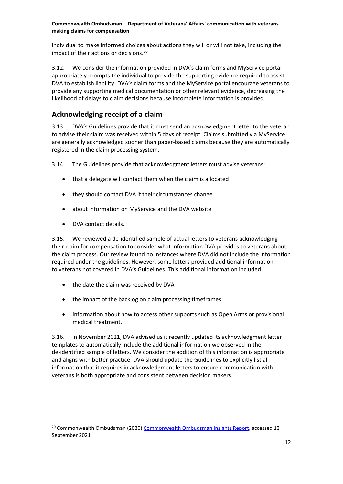individual to make informed choices about actions they will or will not take, including the impact of their actions or decisions.<sup>20</sup>

3.12. We consider the information provided in DVA's claim forms and MyService portal appropriately prompts the individual to provide the supporting evidence required to assist DVA to establish liability. DVA's claim forms and the MyService portal encourage veterans to provide any supporting medical documentation or other relevant evidence, decreasing the likelihood of delays to claim decisions because incomplete information is provided.

## <span id="page-13-0"></span>**Acknowledging receipt of a claim**

3.13. DVA's Guidelines provide that it must send an acknowledgment letter to the veteran to advise their claim was received within 5 days of receipt. Claims submitted via MyService are generally acknowledged sooner than paper-based claims because they are automatically registered in the claim processing system.

3.14. The Guidelines provide that acknowledgment letters must advise veterans:

- that a delegate will contact them when the claim is allocated
- they should contact DVA if their circumstances change
- about information on MyService and the DVA website
- DVA contact details.

3.15. We reviewed a de-identified sample of actual letters to veterans acknowledging their claim for compensation to consider what information DVA provides to veterans about the claim process. Our review found no instances where DVA did not include the information required under the guidelines. However, some letters provided additional information to veterans not covered in DVA's Guidelines. This additional information included:

- the date the claim was received by DVA
- the impact of the backlog on claim processing timeframes
- information about how to access other supports such as Open Arms or provisional medical treatment.

3.16. In November 2021, DVA advised us it recently updated its acknowledgment letter templates to automatically include the additional information we observed in the de-identified sample of letters. We consider the addition of this information is appropriate and aligns with better practice. DVA should update the Guidelines to explicitly list all information that it requires in acknowledgment letters to ensure communication with veterans is both appropriate and consistent between decision makers.

<sup>&</sup>lt;sup>20</sup> Commonwealth Ombudsman (2020) [Commonwealth Ombudsman Insights Report,](https://www.ombudsman.gov.au/__data/assets/pdf_file/0025/111697/Commonwealth-Ombudsman-Insights-October-2020.pdf) accessed 13 September 2021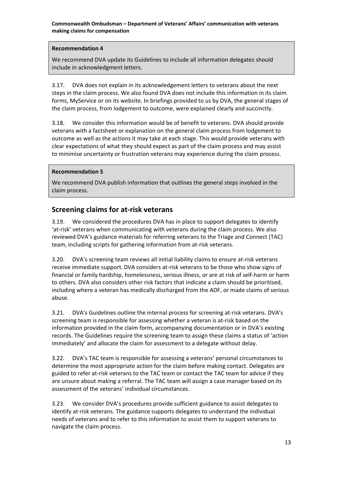#### **Recommendation 4**

We recommend DVA update its Guidelines to include all information delegates should include in acknowledgment letters.

3.17. DVA does not explain in its acknowledgement letters to veterans about the next steps in the claim process. We also found DVA does not include this information in its claim forms, MyService or on its website. In briefings provided to us by DVA, the general stages of the claim process, from lodgement to outcome, were explained clearly and succinctly.

3.18. We consider this information would be of benefit to veterans. DVA should provide veterans with a factsheet or explanation on the general claim process from lodgement to outcome as well as the actions it may take at each stage. This would provide veterans with clear expectations of what they should expect as part of the claim process and may assist to minimise uncertainty or frustration veterans may experience during the claim process.

#### **Recommendation 5**

We recommend DVA publish information that outlines the general steps involved in the claim process.

#### <span id="page-14-0"></span>**Screening claims for at-risk veterans**

3.19. We considered the procedures DVA has in place to support delegates to identify 'at-risk' veterans when communicating with veterans during the claim process. We also reviewed DVA's guidance materials for referring veterans to the Triage and Connect (TAC) team, including scripts for gathering information from at-risk veterans.

3.20. DVA's screening team reviews all initial liability claims to ensure at-risk veterans receive immediate support.DVA considers at-risk veterans to be those who show signs of financial or family hardship, homelessness, serious illness, or are at risk of self-harm or harm to others. DVA also considers other risk factors that indicate a claim should be prioritised, including where a veteran has medically discharged from the ADF, or made claims of serious abuse.

3.21. DVA's Guidelines outline the internal process for screening at-risk veterans. DVA's screening team is responsible for assessing whether a veteran is at-risk based on the information provided in the claim form, accompanying documentation or in DVA's existing records. The Guidelines require the screening team to assign these claims a status of 'action immediately' and allocate the claim for assessment to a delegate without delay.

3.22. DVA's TAC team is responsible for assessing a veterans' personal circumstances to determine the most appropriate action for the claim before making contact. Delegates are guided to refer at-risk veterans to the TAC team or contact the TAC team for advice if they are unsure about making a referral. The TAC team will assign a case manager based on its assessment of the veterans' individual circumstances.

3.23. We consider DVA's procedures provide sufficient guidance to assist delegates to identify at-risk veterans. The guidance supports delegates to understand the individual needs of veterans and to refer to this information to assist them to support veterans to navigate the claim process.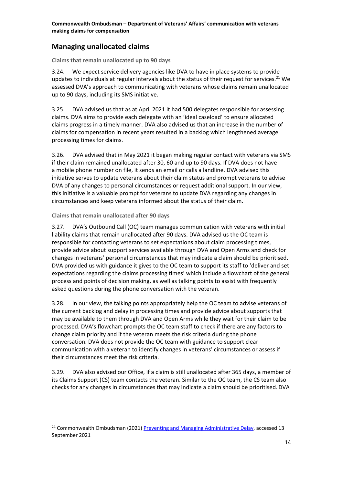## <span id="page-15-0"></span>**Managing unallocated claims**

**Claims that remain unallocated up to 90 days**

3.24. We expect service delivery agencies like DVA to have in place systems to provide updates to individuals at regular intervals about the status of their request for services.<sup>21</sup> We assessed DVA's approach to communicating with veterans whose claims remain unallocated up to 90 days, including its SMS initiative.

3.25. DVA advised us that as at April 2021 it had 500 delegates responsible for assessing claims. DVA aims to provide each delegate with an 'ideal caseload' to ensure allocated claims progress in a timely manner. DVA also advised us that an increase in the number of claims for compensation in recent years resulted in a backlog which lengthened average processing times for claims.

3.26. DVA advised that in May 2021 it began making regular contact with veterans via SMS if their claim remained unallocated after 30, 60 and up to 90 days. If DVA does not have a mobile phone number on file, it sends an email or calls a landline. DVA advised this initiative serves to update veterans about their claim status and prompt veterans to advise DVA of any changes to personal circumstances or request additional support. In our view, this initiative is a valuable prompt for veterans to update DVA regarding any changes in circumstances and keep veterans informed about the status of their claim.

**Claims that remain unallocated after 90 days**

3.27. DVA's Outbound Call (OC) team manages communication with veterans with initial liability claims that remain unallocated after 90 days. DVA advised us the OC team is responsible for contacting veterans to set expectations about claim processing times, provide advice about support services available through DVA and Open Arms and check for changes in veterans' personal circumstances that may indicate a claim should be prioritised. DVA provided us with guidance it gives to the OC team to support its staff to 'deliver and set expectations regarding the claims processing times' which include a flowchart of the general process and points of decision making, as well as talking points to assist with frequently asked questions during the phone conversation with the veteran.

3.28. In our view, the talking points appropriately help the OC team to advise veterans of the current backlog and delay in processing times and provide advice about supports that may be available to them through DVA and Open Arms while they wait for their claim to be processed. DVA's flowchart prompts the OC team staff to check if there are any factors to change claim priority and if the veteran meets the risk criteria during the phone conversation. DVA does not provide the OC team with guidance to support clear communication with a veteran to identify changes in veterans' circumstances or assess if their circumstances meet the risk criteria.

3.29. DVA also advised our Office, if a claim is still unallocated after 365 days, a member of its Claims Support (CS) team contacts the veteran. Similar to the OC team, the CS team also checks for any changes in circumstances that may indicate a claim should be prioritised. DVA

<sup>&</sup>lt;sup>21</sup> Commonwealth Ombudsman (2021) [Preventing and Managing Administrative Delay,](https://www.ombudsman.gov.au/__data/assets/pdf_file/0017/112607/Insights-Report-Preventing-and-Managing-Administrative-Delay-A2176809.pdf) accessed 13 September 2021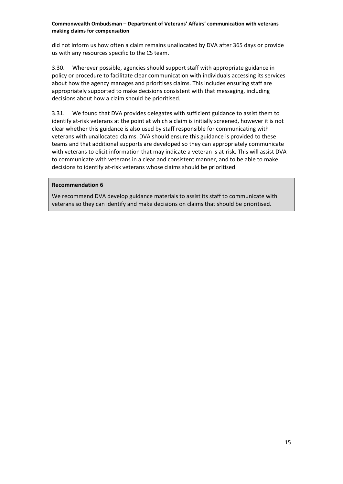did not inform us how often a claim remains unallocated by DVA after 365 days or provide us with any resources specific to the CS team.

3.30. Wherever possible, agencies should support staff with appropriate guidance in policy or procedure to facilitate clear communication with individuals accessing its services about how the agency manages and prioritises claims. This includes ensuring staff are appropriately supported to make decisions consistent with that messaging, including decisions about how a claim should be prioritised.

3.31. We found that DVA provides delegates with sufficient guidance to assist them to identify at-risk veterans at the point at which a claim is initially screened, however it is not clear whether this guidance is also used by staff responsible for communicating with veterans with unallocated claims. DVA should ensure this guidance is provided to these teams and that additional supports are developed so they can appropriately communicate with veterans to elicit information that may indicate a veteran is at-risk. This will assist DVA to communicate with veterans in a clear and consistent manner, and to be able to make decisions to identify at-risk veterans whose claims should be prioritised.

#### **Recommendation 6**

We recommend DVA develop guidance materials to assist its staff to communicate with veterans so they can identify and make decisions on claims that should be prioritised.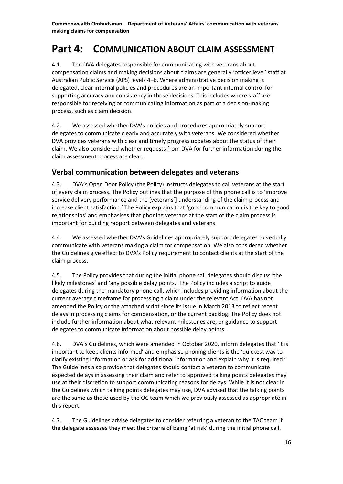## <span id="page-17-0"></span>**Part 4: COMMUNICATION ABOUT CLAIM ASSESSMENT**

4.1. The DVA delegates responsible for communicating with veterans about compensation claims and making decisions about claims are generally 'officer level' staff at Australian Public Service (APS) levels 4–6. Where administrative decision making is delegated, clear internal policies and procedures are an important internal control for supporting accuracy and consistency in those decisions. This includes where staff are responsible for receiving or communicating information as part of a decision-making process, such as claim decision.

4.2. We assessed whether DVA's policies and procedures appropriately support delegates to communicate clearly and accurately with veterans. We considered whether DVA provides veterans with clear and timely progress updates about the status of their claim. We also considered whether requests from DVA for further information during the claim assessment process are clear.

## <span id="page-17-1"></span>**Verbal communication between delegates and veterans**

4.3. DVA's Open Door Policy (the Policy) instructs delegates to call veterans at the start of every claim process. The Policy outlines that the purpose of this phone call is to 'improve service delivery performance and the [veterans'] understanding of the claim process and increase client satisfaction.' The Policy explains that 'good communication is the key to good relationships' and emphasises that phoning veterans at the start of the claim process is important for building rapport between delegates and veterans.

4.4. We assessed whether DVA's Guidelines appropriately support delegates to verbally communicate with veterans making a claim for compensation. We also considered whether the Guidelines give effect to DVA's Policy requirement to contact clients at the start of the claim process.

4.5. The Policy provides that during the initial phone call delegates should discuss 'the likely milestones' and 'any possible delay points.' The Policy includes a script to guide delegates during the mandatory phone call, which includes providing information about the current average timeframe for processing a claim under the relevant Act. DVA has not amended the Policy or the attached script since its issue in March 2013 to reflect recent delays in processing claims for compensation, or the current backlog. The Policy does not include further information about what relevant milestones are, or guidance to support delegates to communicate information about possible delay points.

4.6. DVA's Guidelines, which were amended in October 2020, inform delegates that 'it is important to keep clients informed' and emphasise phoning clients is the 'quickest way to clarify existing information or ask for additional information and explain why it is required.' The Guidelines also provide that delegates should contact a veteran to communicate expected delays in assessing their claim and refer to approved talking points delegates may use at their discretion to support communicating reasons for delays. While it is not clear in the Guidelines which talking points delegates may use, DVA advised that the talking points are the same as those used by the OC team which we previously assessed as appropriate in this report.

4.7. The Guidelines advise delegates to consider referring a veteran to the TAC team if the delegate assesses they meet the criteria of being 'at risk' during the initial phone call.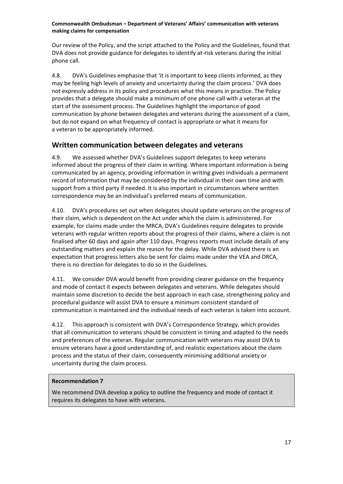Our review of the Policy, and the script attached to the Policy and the Guidelines, found that DVA does not provide guidance for delegates to identify at-risk veterans during the initial phone call.

4.8. DVA's Guidelines emphasise that 'it is important to keep clients informed, as they may be feeling high levels of anxiety and uncertainty during the claim process.' DVA does not expressly address in its policy and procedures what this means in practice. The Policy provides that a delegate should make a minimum of one phone call with a veteran at the start of the assessment process. The Guidelines highlight the importance of good communication by phone between delegates and veterans during the assessment of a claim, but do not expand on what frequency of contact is appropriate or what it means for a veteran to be appropriately informed.

## <span id="page-18-0"></span>**Written communication between delegates and veterans**

4.9. We assessed whether DVA's Guidelines support delegates to keep veterans informed about the progress of their claim in writing. Where important information is being communicated by an agency, providing information in writing gives individuals a permanent record of information that may be considered by the individual in their own time and with support from a third party if needed. It is also important in circumstances where written correspondence may be an individual's preferred means of communication.

4.10. DVA's procedures set out when delegates should update veterans on the progress of their claim, which is dependent on the Act under which the claim is administered. For example, for claims made under the MRCA, DVA's Guidelines require delegates to provide veterans with regular written reports about the progress of their claims, where a claim is not finalised after 60 days and again after 110 days. Progress reports must include details of any outstanding matters and explain the reason for the delay. While DVA advised there is an expectation that progress letters also be sent for claims made under the VEA and DRCA, there is no direction for delegates to do so in the Guidelines.

4.11. We consider DVA would benefit from providing clearer guidance on the frequency and mode of contact it expects between delegates and veterans. While delegates should maintain some discretion to decide the best approach in each case, strengthening policy and procedural guidance will assist DVA to ensure a minimum consistent standard of communication is maintained and the individual needs of each veteran is taken into account.

4.12. This approach is consistent with DVA's Correspondence Strategy, which provides that all communication to veterans should be consistent in timing and adapted to the needs and preferences of the veteran. Regular communication with veterans may assist DVA to ensure veterans have a good understanding of, and realistic expectations about the claim process and the status of their claim, consequently minimising additional anxiety or uncertainty during the claim process.

#### **Recommendation 7**

We recommend DVA develop a policy to outline the frequency and mode of contact it requires its delegates to have with veterans.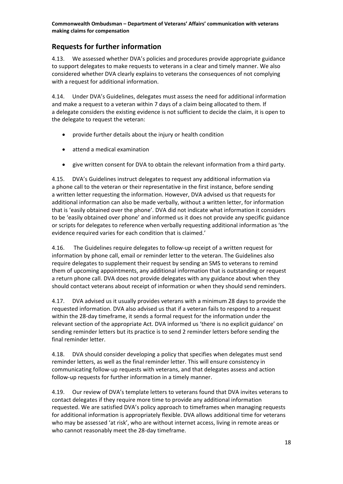## <span id="page-19-0"></span>**Requests for further information**

4.13. We assessed whether DVA's policies and procedures provide appropriate guidance to support delegates to make requests to veterans in a clear and timely manner. We also considered whether DVA clearly explains to veterans the consequences of not complying with a request for additional information.

4.14. Under DVA's Guidelines, delegates must assess the need for additional information and make a request to a veteran within 7 days of a claim being allocated to them. If a delegate considers the existing evidence is not sufficient to decide the claim, it is open to the delegate to request the veteran:

- provide further details about the injury or health condition
- attend a medical examination
- give written consent for DVA to obtain the relevant information from a third party.

4.15. DVA's Guidelines instruct delegates to request any additional information via a phone call to the veteran or their representative in the first instance, before sending a written letter requesting the information. However, DVA advised us that requests for additional information can also be made verbally, without a written letter, for information that is 'easily obtained over the phone'. DVA did not indicate what information it considers to be 'easily obtained over phone' and informed us it does not provide any specific guidance or scripts for delegates to reference when verbally requesting additional information as 'the evidence required varies for each condition that is claimed.'

4.16. The Guidelines require delegates to follow-up receipt of a written request for information by phone call, email or reminder letter to the veteran. The Guidelines also require delegates to supplement their request by sending an SMS to veterans to remind them of upcoming appointments, any additional information that is outstanding or request a return phone call. DVA does not provide delegates with any guidance about when they should contact veterans about receipt of information or when they should send reminders.

4.17. DVA advised us it usually provides veterans with a minimum 28 days to provide the requested information. DVA also advised us that if a veteran fails to respond to a request within the 28-day timeframe, it sends a formal request for the information under the relevant section of the appropriate Act. DVA informed us 'there is no explicit guidance' on sending reminder letters but its practice is to send 2 reminder letters before sending the final reminder letter.

4.18. DVA should consider developing a policy that specifies when delegates must send reminder letters, as well as the final reminder letter. This will ensure consistency in communicating follow-up requests with veterans, and that delegates assess and action follow-up requests for further information in a timely manner.

4.19. Our review of DVA's template letters to veterans found that DVA invites veterans to contact delegates if they require more time to provide any additional information requested. We are satisfied DVA's policy approach to timeframes when managing requests for additional information is appropriately flexible. DVA allows additional time for veterans who may be assessed 'at risk', who are without internet access, living in remote areas or who cannot reasonably meet the 28-day timeframe.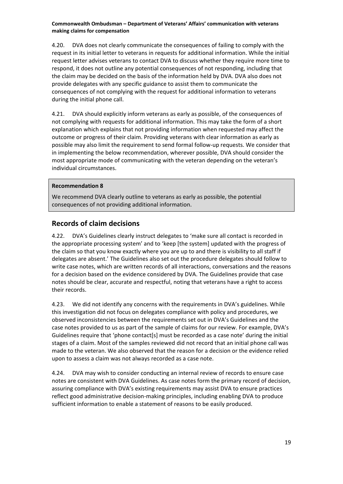4.20. DVA does not clearly communicate the consequences of failing to comply with the request in its initial letter to veterans in requests for additional information. While the initial request letter advises veterans to contact DVA to discuss whether they require more time to respond, it does not outline any potential consequences of not responding, including that the claim may be decided on the basis of the information held by DVA. DVA also does not provide delegates with any specific guidance to assist them to communicate the consequences of not complying with the request for additional information to veterans during the initial phone call.

4.21. DVA should explicitly inform veterans as early as possible, of the consequences of not complying with requests for additional information. This may take the form of a short explanation which explains that not providing information when requested may affect the outcome or progress of their claim. Providing veterans with clear information as early as possible may also limit the requirement to send formal follow-up requests. We consider that in implementing the below recommendation, wherever possible, DVA should consider the most appropriate mode of communicating with the veteran depending on the veteran's individual circumstances.

#### **Recommendation 8**

We recommend DVA clearly outline to veterans as early as possible, the potential consequences of not providing additional information.

#### <span id="page-20-0"></span>**Records of claim decisions**

4.22. DVA's Guidelines clearly instruct delegates to 'make sure all contact is recorded in the appropriate processing system' and to 'keep [the system] updated with the progress of the claim so that you know exactly where you are up to and there is visibility to all staff if delegates are absent.' The Guidelines also set out the procedure delegates should follow to write case notes, which are written records of all interactions, conversations and the reasons for a decision based on the evidence considered by DVA. The Guidelines provide that case notes should be clear, accurate and respectful, noting that veterans have a right to access their records.

4.23. We did not identify any concerns with the requirements in DVA's guidelines. While this investigation did not focus on delegates compliance with policy and procedures, we observed inconsistencies between the requirements set out in DVA's Guidelines and the case notes provided to us as part of the sample of claims for our review. For example, DVA's Guidelines require that 'phone contact[s] must be recorded as a case note' during the initial stages of a claim. Most of the samples reviewed did not record that an initial phone call was made to the veteran. We also observed that the reason for a decision or the evidence relied upon to assess a claim was not always recorded as a case note.

4.24. DVA may wish to consider conducting an internal review of records to ensure case notes are consistent with DVA Guidelines. As case notes form the primary record of decision, assuring compliance with DVA's existing requirements may assist DVA to ensure practices reflect good administrative decision-making principles, including enabling DVA to produce sufficient information to enable a statement of reasons to be easily produced.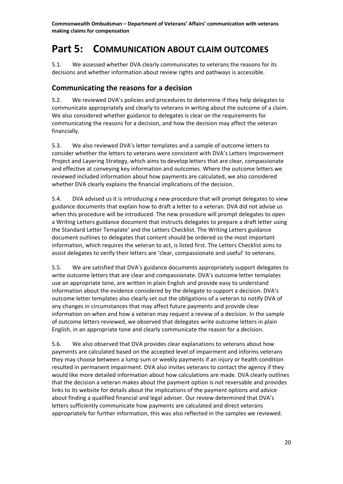## <span id="page-21-0"></span>**Part 5: COMMUNICATION ABOUT CLAIM OUTCOMES**

5.1. We assessed whether DVA clearly communicates to veterans the reasons for its decisions and whether information about review rights and pathways is accessible.

### <span id="page-21-1"></span>**Communicating the reasons for a decision**

5.2. We reviewed DVA's policies and procedures to determine if they help delegates to communicate appropriately and clearly to veterans in writing about the outcome of a claim. We also considered whether guidance to delegates is clear on the requirements for communicating the reasons for a decision, and how the decision may affect the veteran financially.

5.3. We also reviewed DVA's letter templates and a sample of outcome letters to consider whether the letters to veterans were consistent with DVA's Letters Improvement Project and Layering Strategy, which aims to develop letters that are clear, compassionate and effective at conveying key information and outcomes. Where the outcome letters we reviewed included information about how payments are calculated, we also considered whether DVA clearly explains the financial implications of the decision.

5.4. DVA advised us it is introducing a new procedure that will prompt delegates to view guidance documents that explain how to draft a letter to a veteran. DVA did not advise us when this procedure will be introduced. The new procedure will prompt delegates to open a Writing Letters guidance document that instructs delegates to prepare a draft letter using the Standard Letter Template' and the Letters Checklist. The Writing Letters guidance document outlines to delegates that content should be ordered so the most important information, which requires the veteran to act, is listed first. The Letters Checklist aims to assist delegates to verify their letters are 'clear, compassionate and useful' to veterans.

5.5. We are satisfied that DVA's guidance documents appropriately support delegates to write outcome letters that are clear and compassionate. DVA's outcome letter templates use an appropriate tone, are written in plain English and provide easy to understand information about the evidence considered by the delegate to support a decision. DVA's outcome letter templates also clearly set out the obligations of a veteran to notify DVA of any changes in circumstances that may affect future payments and provide clear information on when and how a veteran may request a review of a decision. In the sample of outcome letters reviewed, we observed that delegates write outcome letters in plain English, in an appropriate tone and clearly communicate the reason for a decision.

5.6. We also observed that DVA provides clear explanations to veterans about how payments are calculated based on the accepted level of impairment and informs veterans they may choose between a lump sum or weekly payments if an injury or health condition resulted in permanent impairment. DVA also invites veterans to contact the agency if they would like more detailed information about how calculations are made. DVA clearly outlines that the decision a veteran makes about the payment option is not reversable and provides links to its website for details about the implications of the payment options and advice about finding a qualified financial and legal adviser. Our review determined that DVA's letters sufficiently communicate how payments are calculated and direct veterans appropriately for further information, this was also reflected in the samples we reviewed.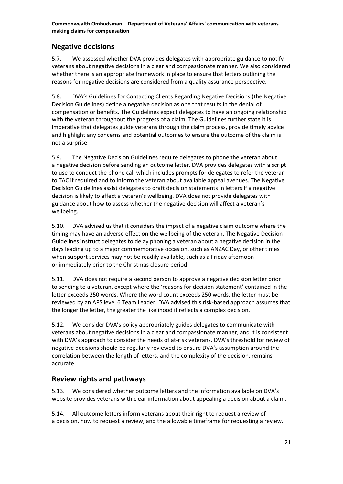## <span id="page-22-0"></span>**Negative decisions**

5.7. We assessed whether DVA provides delegates with appropriate guidance to notify veterans about negative decisions in a clear and compassionate manner. We also considered whether there is an appropriate framework in place to ensure that letters outlining the reasons for negative decisions are considered from a quality assurance perspective.

5.8. DVA's Guidelines for Contacting Clients Regarding Negative Decisions (the Negative Decision Guidelines) define a negative decision as one that results in the denial of compensation or benefits. The Guidelines expect delegates to have an ongoing relationship with the veteran throughout the progress of a claim. The Guidelines further state it is imperative that delegates guide veterans through the claim process, provide timely advice and highlight any concerns and potential outcomes to ensure the outcome of the claim is not a surprise.

5.9. The Negative Decision Guidelines require delegates to phone the veteran about a negative decision before sending an outcome letter. DVA provides delegates with a script to use to conduct the phone call which includes prompts for delegates to refer the veteran to TAC if required and to inform the veteran about available appeal avenues. The Negative Decision Guidelines assist delegates to draft decision statements in letters if a negative decision is likely to affect a veteran's wellbeing. DVA does not provide delegates with guidance about how to assess whether the negative decision will affect a veteran's wellbeing.

5.10. DVA advised us that it considers the impact of a negative claim outcome where the timing may have an adverse effect on the wellbeing of the veteran. The Negative Decision Guidelines instruct delegates to delay phoning a veteran about a negative decision in the days leading up to a major commemorative occasion, such as ANZAC Day, or other times when support services may not be readily available, such as a Friday afternoon or immediately prior to the Christmas closure period.

5.11. DVA does not require a second person to approve a negative decision letter prior to sending to a veteran, except where the 'reasons for decision statement' contained in the letter exceeds 250 words. Where the word count exceeds 250 words, the letter must be reviewed by an APS level 6 Team Leader. DVA advised this risk-based approach assumes that the longer the letter, the greater the likelihood it reflects a complex decision.

5.12. We consider DVA's policy appropriately guides delegates to communicate with veterans about negative decisions in a clear and compassionate manner, and it is consistent with DVA's approach to consider the needs of at-risk veterans. DVA's threshold for review of negative decisions should be regularly reviewed to ensure DVA's assumption around the correlation between the length of letters, and the complexity of the decision, remains accurate.

## <span id="page-22-1"></span>**Review rights and pathways**

5.13. We considered whether outcome letters and the information available on DVA's website provides veterans with clear information about appealing a decision about a claim.

5.14. All outcome letters inform veterans about their right to request a review of a decision, how to request a review, and the allowable timeframe for requesting a review.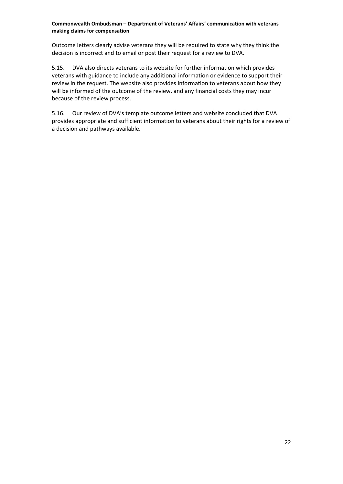Outcome letters clearly advise veterans they will be required to state why they think the decision is incorrect and to email or post their request for a review to DVA.

5.15. DVA also directs veterans to its website for further information which provides veterans with guidance to include any additional information or evidence to support their review in the request. The website also provides information to veterans about how they will be informed of the outcome of the review, and any financial costs they may incur because of the review process.

5.16. Our review of DVA's template outcome letters and website concluded that DVA provides appropriate and sufficient information to veterans about their rights for a review of a decision and pathways available.